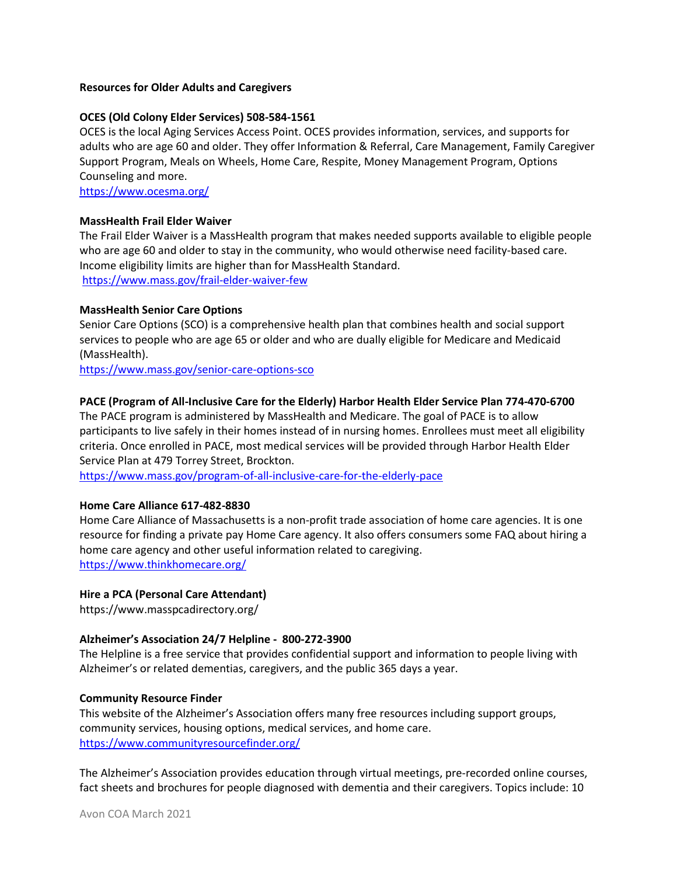### Resources for Older Adults and Caregivers

### OCES (Old Colony Elder Services) 508-584-1561

OCES is the local Aging Services Access Point. OCES provides information, services, and supports for adults who are age 60 and older. They offer Information & Referral, Care Management, Family Caregiver Support Program, Meals on Wheels, Home Care, Respite, Money Management Program, Options Counseling and more.

https://www.ocesma.org/

## MassHealth Frail Elder Waiver

The Frail Elder Waiver is a MassHealth program that makes needed supports available to eligible people who are age 60 and older to stay in the community, who would otherwise need facility-based care. Income eligibility limits are higher than for MassHealth Standard. https://www.mass.gov/frail-elder-waiver-few

### MassHealth Senior Care Options

Senior Care Options (SCO) is a comprehensive health plan that combines health and social support services to people who are age 65 or older and who are dually eligible for Medicare and Medicaid (MassHealth).

https://www.mass.gov/senior-care-options-sco

# PACE (Program of All-Inclusive Care for the Elderly) Harbor Health Elder Service Plan 774-470-6700

The PACE program is administered by MassHealth and Medicare. The goal of PACE is to allow participants to live safely in their homes instead of in nursing homes. Enrollees must meet all eligibility criteria. Once enrolled in PACE, most medical services will be provided through Harbor Health Elder Service Plan at 479 Torrey Street, Brockton.

https://www.mass.gov/program-of-all-inclusive-care-for-the-elderly-pace

#### Home Care Alliance 617-482-8830

Home Care Alliance of Massachusetts is a non-profit trade association of home care agencies. It is one resource for finding a private pay Home Care agency. It also offers consumers some FAQ about hiring a home care agency and other useful information related to caregiving. https://www.thinkhomecare.org/

#### Hire a PCA (Personal Care Attendant)

https://www.masspcadirectory.org/

#### Alzheimer's Association 24/7 Helpline - 800-272-3900

The Helpline is a free service that provides confidential support and information to people living with Alzheimer's or related dementias, caregivers, and the public 365 days a year.

#### Community Resource Finder

This website of the Alzheimer's Association offers many free resources including support groups, community services, housing options, medical services, and home care. https://www.communityresourcefinder.org/

The Alzheimer's Association provides education through virtual meetings, pre-recorded online courses, fact sheets and brochures for people diagnosed with dementia and their caregivers. Topics include: 10